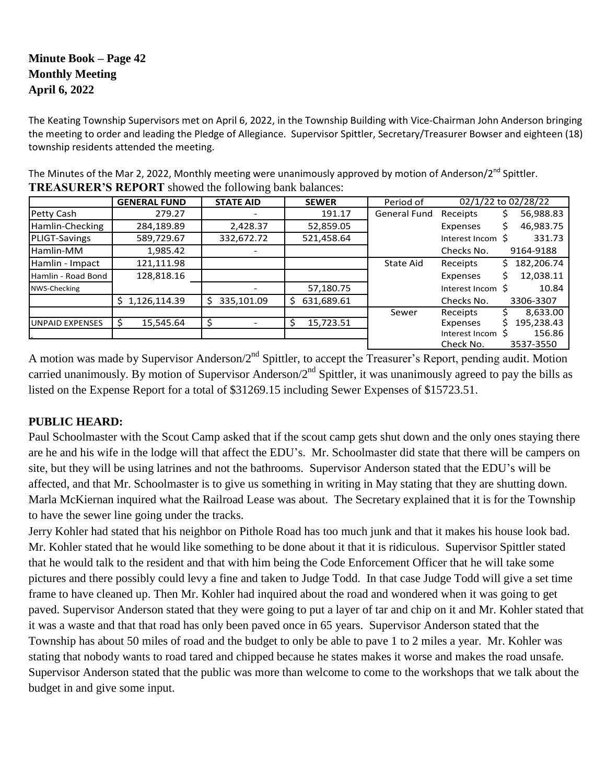# **Minute Book – Page 42 Monthly Meeting April 6, 2022**

The Keating Township Supervisors met on April 6, 2022, in the Township Building with Vice-Chairman John Anderson bringing the meeting to order and leading the Pledge of Allegiance. Supervisor Spittler, Secretary/Treasurer Bowser and eighteen (18) township residents attended the meeting.

|                        | <b>GENERAL FUND</b> | <b>STATE AID</b> | <b>SEWER</b>     | Period of           | 02/1/22 to 02/28/22 |                  |
|------------------------|---------------------|------------------|------------------|---------------------|---------------------|------------------|
| Petty Cash             | 279.27              |                  | 191.17           | <b>General Fund</b> | Receipts            | 56,988.83<br>S   |
| Hamlin-Checking        | 284,189.89          | 2,428.37         | 52,859.05        |                     | Expenses            | 46,983.75        |
| PLIGT-Savings          | 589,729.67          | 332,672.72       | 521,458.64       |                     | Interest Incom S    | 331.73           |
| Hamlin-MM              | 1,985.42            |                  |                  |                     | Checks No.          | 9164-9188        |
| Hamlin - Impact        | 121,111.98          |                  |                  | State Aid           | Receipts            | 182,206.74<br>S. |
| Hamlin - Road Bond     | 128,818.16          |                  |                  |                     | Expenses            | 12,038.11        |
| NWS-Checking           |                     |                  | 57,180.75        |                     | Interest Incom S    | 10.84            |
|                        | \$1,126,114.39      | 335,101.09<br>Ś  | 631,689.61<br>\$ |                     | Checks No.          | 3306-3307        |
|                        |                     |                  |                  | Sewer               | Receipts            | 8,633.00         |
| <b>UNPAID EXPENSES</b> | 15,545.64<br>-S     |                  | 15,723.51<br>S   |                     | Expenses            | 195,238.43       |
|                        |                     |                  |                  |                     | Interest Incom      | 156.86           |
|                        |                     |                  |                  |                     | Check No.           | 3537-3550        |

The Minutes of the Mar 2, 2022, Monthly meeting were unanimously approved by motion of Anderson/2<sup>nd</sup> Spittler. **TREASURER'S REPORT** showed the following bank balances:

A motion was made by Supervisor Anderson/2<sup>nd</sup> Spittler, to accept the Treasurer's Report, pending audit. Motion carried unanimously. By motion of Supervisor Anderson/2<sup>nd</sup> Spittler, it was unanimously agreed to pay the bills as listed on the Expense Report for a total of \$31269.15 including Sewer Expenses of \$15723.51.

#### **PUBLIC HEARD:**

Paul Schoolmaster with the Scout Camp asked that if the scout camp gets shut down and the only ones staying there are he and his wife in the lodge will that affect the EDU's. Mr. Schoolmaster did state that there will be campers on site, but they will be using latrines and not the bathrooms. Supervisor Anderson stated that the EDU's will be affected, and that Mr. Schoolmaster is to give us something in writing in May stating that they are shutting down. Marla McKiernan inquired what the Railroad Lease was about. The Secretary explained that it is for the Township to have the sewer line going under the tracks.

Jerry Kohler had stated that his neighbor on Pithole Road has too much junk and that it makes his house look bad. Mr. Kohler stated that he would like something to be done about it that it is ridiculous. Supervisor Spittler stated that he would talk to the resident and that with him being the Code Enforcement Officer that he will take some pictures and there possibly could levy a fine and taken to Judge Todd. In that case Judge Todd will give a set time frame to have cleaned up. Then Mr. Kohler had inquired about the road and wondered when it was going to get paved. Supervisor Anderson stated that they were going to put a layer of tar and chip on it and Mr. Kohler stated that it was a waste and that that road has only been paved once in 65 years. Supervisor Anderson stated that the Township has about 50 miles of road and the budget to only be able to pave 1 to 2 miles a year. Mr. Kohler was stating that nobody wants to road tared and chipped because he states makes it worse and makes the road unsafe. Supervisor Anderson stated that the public was more than welcome to come to the workshops that we talk about the budget in and give some input.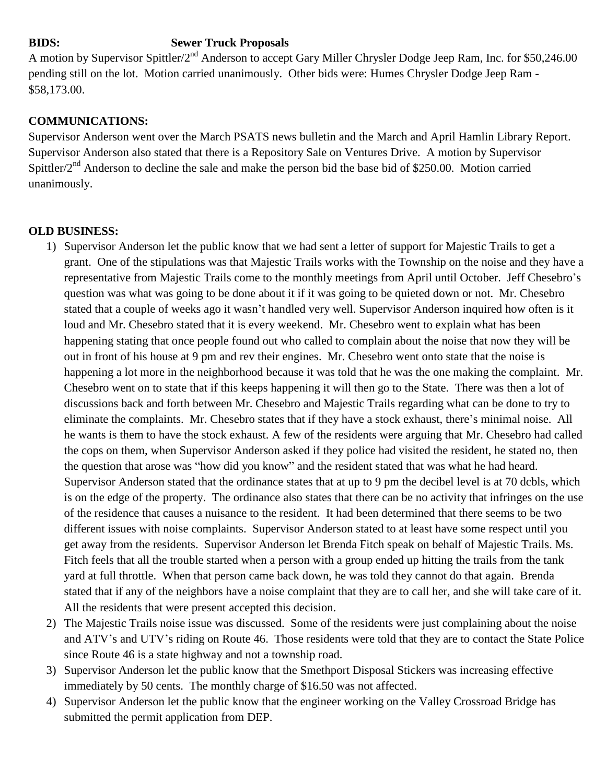# **BIDS: Sewer Truck Proposals**

A motion by Supervisor Spittler/2nd Anderson to accept Gary Miller Chrysler Dodge Jeep Ram, Inc. for \$50,246.00 pending still on the lot. Motion carried unanimously. Other bids were: Humes Chrysler Dodge Jeep Ram - \$58,173.00.

## **COMMUNICATIONS:**

Supervisor Anderson went over the March PSATS news bulletin and the March and April Hamlin Library Report. Supervisor Anderson also stated that there is a Repository Sale on Ventures Drive. A motion by Supervisor Spittler/ $2<sup>nd</sup>$  Anderson to decline the sale and make the person bid the base bid of \$250.00. Motion carried unanimously.

### **OLD BUSINESS:**

- 1) Supervisor Anderson let the public know that we had sent a letter of support for Majestic Trails to get a grant. One of the stipulations was that Majestic Trails works with the Township on the noise and they have a representative from Majestic Trails come to the monthly meetings from April until October. Jeff Chesebro's question was what was going to be done about it if it was going to be quieted down or not. Mr. Chesebro stated that a couple of weeks ago it wasn't handled very well. Supervisor Anderson inquired how often is it loud and Mr. Chesebro stated that it is every weekend. Mr. Chesebro went to explain what has been happening stating that once people found out who called to complain about the noise that now they will be out in front of his house at 9 pm and rev their engines. Mr. Chesebro went onto state that the noise is happening a lot more in the neighborhood because it was told that he was the one making the complaint. Mr. Chesebro went on to state that if this keeps happening it will then go to the State. There was then a lot of discussions back and forth between Mr. Chesebro and Majestic Trails regarding what can be done to try to eliminate the complaints. Mr. Chesebro states that if they have a stock exhaust, there's minimal noise. All he wants is them to have the stock exhaust. A few of the residents were arguing that Mr. Chesebro had called the cops on them, when Supervisor Anderson asked if they police had visited the resident, he stated no, then the question that arose was "how did you know" and the resident stated that was what he had heard. Supervisor Anderson stated that the ordinance states that at up to 9 pm the decibel level is at 70 dcbls, which is on the edge of the property. The ordinance also states that there can be no activity that infringes on the use of the residence that causes a nuisance to the resident. It had been determined that there seems to be two different issues with noise complaints. Supervisor Anderson stated to at least have some respect until you get away from the residents. Supervisor Anderson let Brenda Fitch speak on behalf of Majestic Trails. Ms. Fitch feels that all the trouble started when a person with a group ended up hitting the trails from the tank yard at full throttle. When that person came back down, he was told they cannot do that again. Brenda stated that if any of the neighbors have a noise complaint that they are to call her, and she will take care of it. All the residents that were present accepted this decision.
- 2) The Majestic Trails noise issue was discussed. Some of the residents were just complaining about the noise and ATV's and UTV's riding on Route 46. Those residents were told that they are to contact the State Police since Route 46 is a state highway and not a township road.
- 3) Supervisor Anderson let the public know that the Smethport Disposal Stickers was increasing effective immediately by 50 cents. The monthly charge of \$16.50 was not affected.
- 4) Supervisor Anderson let the public know that the engineer working on the Valley Crossroad Bridge has submitted the permit application from DEP.